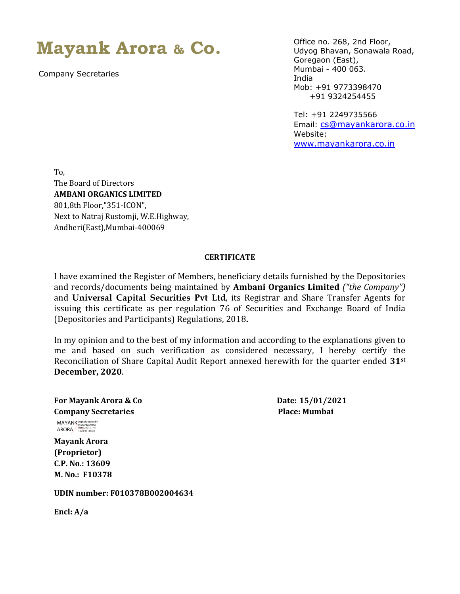## **Mayank Arora & Co.**

Company Secretaries

Office no. 268, 2nd Floor, Udyog Bhavan, Sonawala Road, Goregaon (East), Mumbai - 400 063. India Mob: +91 9773398470 +91 9324254455

Tel: +91 2249735566 Email: [cs@mayankarora.co.in](mailto:cs@mayankarora.co.in) Website: [www.mayankarora.co.in](http://www.mayankarora.co.in/)

To, The Board of Directors **AMBANI ORGANICS LIMITED** 801,8th Floor,"351-ICON", Next to Natraj Rustomji, W.E.Highway, Andheri(East),Mumbai-400069

## **CERTIFICATE**

I have examined the Register of Members, beneficiary details furnished by the Depositories and records/documents being maintained by **Ambani Organics Limited** *("the Company")*  and **Universal Capital Securities Pvt Ltd**, its Registrar and Share Transfer Agents for issuing this certificate as per regulation 76 of Securities and Exchange Board of India (Depositories and Participants) Regulations, 2018**.**

In my opinion and to the best of my information and according to the explanations given to me and based on such verification as considered necessary, I hereby certify the Reconciliation of Share Capital Audit Report annexed herewith for the quarter ended **31st December, 2020**.

**For Mayank Arora & Co Date: 15/01/2021 Company Secretaries Place: Mumbai**

 MAYANK ARORA Digitally signed by MAYANK ARORA Date: 2021.01.15 12:22:41 +05'30'

**Mayank Arora (Proprietor) C.P. No.: 13609 M. No.: F10378**

**UDIN number: F010378B002004634**

**Encl: A/a**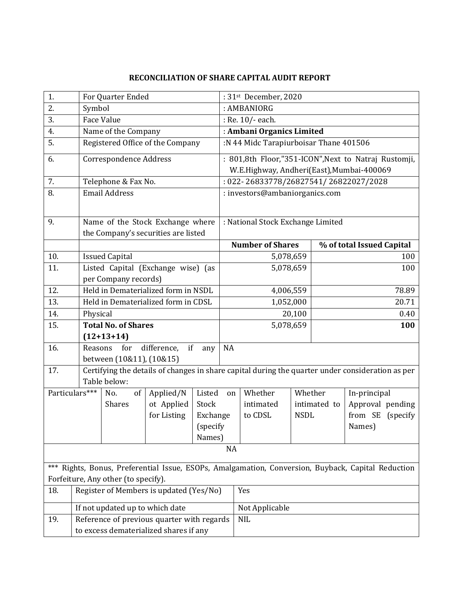## **RECONCILIATION OF SHARE CAPITAL AUDIT REPORT**

| 1.                                                                                                    |                                    | For Quarter Ended                          |                                        |           |                                                                                                  | : 31st December, 2020                                |                             |      |                           |     |  |
|-------------------------------------------------------------------------------------------------------|------------------------------------|--------------------------------------------|----------------------------------------|-----------|--------------------------------------------------------------------------------------------------|------------------------------------------------------|-----------------------------|------|---------------------------|-----|--|
| 2.                                                                                                    |                                    | Symbol                                     |                                        |           |                                                                                                  | : AMBANIORG                                          |                             |      |                           |     |  |
| 3.                                                                                                    |                                    | Face Value                                 |                                        |           |                                                                                                  | : Re. 10/- each.                                     |                             |      |                           |     |  |
| 4.                                                                                                    |                                    | Name of the Company                        |                                        |           |                                                                                                  | : Ambani Organics Limited                            |                             |      |                           |     |  |
| 5.                                                                                                    |                                    | Registered Office of the Company           |                                        |           |                                                                                                  | :N 44 Midc Tarapiurboisar Thane 401506               |                             |      |                           |     |  |
| 6.                                                                                                    |                                    | Correspondence Address                     |                                        |           |                                                                                                  | : 801,8th Floor,"351-ICON", Next to Natraj Rustomji, |                             |      |                           |     |  |
|                                                                                                       |                                    |                                            |                                        |           | W.E.Highway, Andheri(East), Mumbai-400069                                                        |                                                      |                             |      |                           |     |  |
| 7.                                                                                                    |                                    | Telephone & Fax No.                        | : 022-26833778/26827541/26822027/2028  |           |                                                                                                  |                                                      |                             |      |                           |     |  |
| 8.                                                                                                    |                                    | <b>Email Address</b>                       |                                        |           |                                                                                                  | : investors@ambaniorganics.com                       |                             |      |                           |     |  |
| 9.                                                                                                    |                                    |                                            | Name of the Stock Exchange where       |           | : National Stock Exchange Limited                                                                |                                                      |                             |      |                           |     |  |
|                                                                                                       |                                    |                                            | the Company's securities are listed    |           |                                                                                                  |                                                      |                             |      |                           |     |  |
|                                                                                                       |                                    |                                            |                                        |           |                                                                                                  | <b>Number of Shares</b>                              |                             |      | % of total Issued Capital |     |  |
| 10.                                                                                                   |                                    | <b>Issued Capital</b>                      |                                        |           |                                                                                                  | 5,078,659                                            |                             |      | 100                       |     |  |
| 11.                                                                                                   | Listed Capital (Exchange wise) (as |                                            |                                        | 5,078,659 |                                                                                                  |                                                      | 100                         |      |                           |     |  |
|                                                                                                       | per Company records)               |                                            |                                        |           |                                                                                                  |                                                      |                             |      |                           |     |  |
| 12.                                                                                                   |                                    | Held in Dematerialized form in NSDL        |                                        |           |                                                                                                  | 4,006,559                                            |                             |      | 78.89                     |     |  |
| 13.                                                                                                   |                                    | Held in Dematerialized form in CDSL        | 1,052,000                              |           |                                                                                                  |                                                      | 20.71                       |      |                           |     |  |
| 14.                                                                                                   | Physical                           |                                            |                                        | 20,100    |                                                                                                  |                                                      |                             | 0.40 |                           |     |  |
| 15.                                                                                                   |                                    | <b>Total No. of Shares</b>                 |                                        |           |                                                                                                  | 5,078,659                                            |                             |      |                           | 100 |  |
|                                                                                                       |                                    | $(12+13+14)$                               |                                        |           |                                                                                                  |                                                      |                             |      |                           |     |  |
| 16.                                                                                                   |                                    | difference,<br>if<br>Reasons<br>for<br>any |                                        |           | <b>NA</b>                                                                                        |                                                      |                             |      |                           |     |  |
|                                                                                                       |                                    | between (10&11), (10&15)                   |                                        |           | Certifying the details of changes in share capital during the quarter under consideration as per |                                                      |                             |      |                           |     |  |
| 17.                                                                                                   |                                    | Table below:                               |                                        |           |                                                                                                  |                                                      |                             |      |                           |     |  |
|                                                                                                       | Particulars***                     | No.<br>of                                  | Applied/N                              | Listed    | on                                                                                               | Whether                                              | Whether                     |      | In-principal              |     |  |
|                                                                                                       |                                    | <b>Shares</b>                              | ot Applied                             | Stock     |                                                                                                  | intimated                                            | intimated to<br><b>NSDL</b> |      | Approval pending          |     |  |
|                                                                                                       |                                    |                                            | for Listing                            | Exchange  |                                                                                                  | to CDSL                                              |                             |      | from SE (specify          |     |  |
|                                                                                                       |                                    |                                            |                                        | (specify  |                                                                                                  |                                                      |                             |      | Names)                    |     |  |
|                                                                                                       |                                    |                                            |                                        | Names)    |                                                                                                  |                                                      |                             |      |                           |     |  |
| <b>NA</b>                                                                                             |                                    |                                            |                                        |           |                                                                                                  |                                                      |                             |      |                           |     |  |
| Rights, Bonus, Preferential Issue, ESOPs, Amalgamation, Conversion, Buyback, Capital Reduction<br>*** |                                    |                                            |                                        |           |                                                                                                  |                                                      |                             |      |                           |     |  |
| 18.                                                                                                   |                                    | Forfeiture, Any other (to specify).<br>Yes |                                        |           |                                                                                                  |                                                      |                             |      |                           |     |  |
|                                                                                                       |                                    | Register of Members is updated (Yes/No)    |                                        |           |                                                                                                  |                                                      |                             |      |                           |     |  |
|                                                                                                       |                                    | If not updated up to which date            |                                        |           |                                                                                                  | Not Applicable                                       |                             |      |                           |     |  |
| Reference of previous quarter with regards<br>19.<br><b>NIL</b>                                       |                                    |                                            |                                        |           |                                                                                                  |                                                      |                             |      |                           |     |  |
|                                                                                                       |                                    |                                            | to excess dematerialized shares if any |           |                                                                                                  |                                                      |                             |      |                           |     |  |